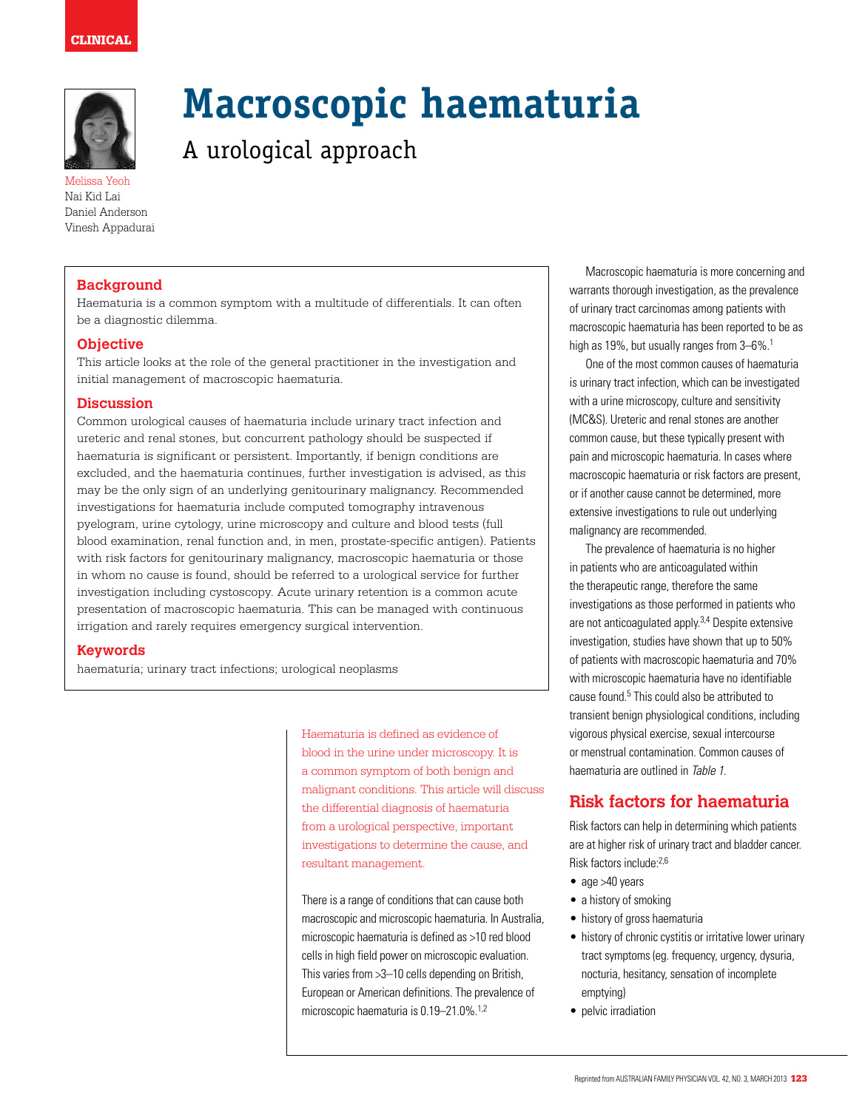

Melissa Yeoh Nai Kid Lai Daniel Anderson Vinesh Appadurai

## **Background**

Haematuria is a common symptom with a multitude of differentials. It can often be a diagnostic dilemma.

A urological approach

#### **Objective**

This article looks at the role of the general practitioner in the investigation and initial management of macroscopic haematuria.

#### **Discussion**

Common urological causes of haematuria include urinary tract infection and ureteric and renal stones, but concurrent pathology should be suspected if haematuria is significant or persistent. Importantly, if benign conditions are excluded, and the haematuria continues, further investigation is advised, as this may be the only sign of an underlying genitourinary malignancy. Recommended investigations for haematuria include computed tomography intravenous pyelogram, urine cytology, urine microscopy and culture and blood tests (full blood examination, renal function and, in men, prostate-specific antigen). Patients with risk factors for genitourinary malignancy, macroscopic haematuria or those in whom no cause is found, should be referred to a urological service for further investigation including cystoscopy. Acute urinary retention is a common acute presentation of macroscopic haematuria. This can be managed with continuous irrigation and rarely requires emergency surgical intervention.

#### **Keywords**

haematuria; urinary tract infections; urological neoplasms

Haematuria is defined as evidence of blood in the urine under microscopy. It is a common symptom of both benign and malignant conditions. This article will discuss the differential diagnosis of haematuria from a urological perspective, important investigations to determine the cause, and resultant management.

**Macroscopic haematuria**

There is a range of conditions that can cause both macroscopic and microscopic haematuria. In Australia, microscopic haematuria is defined as >10 red blood cells in high field power on microscopic evaluation. This varies from >3–10 cells depending on British, European or American definitions. The prevalence of microscopic haematuria is 0.19-21.0%.<sup>1,2</sup>

 Macroscopic haematuria is more concerning and warrants thorough investigation, as the prevalence of urinary tract carcinomas among patients with macroscopic haematuria has been reported to be as high as 19%, but usually ranges from 3–6%.<sup>1</sup>

One of the most common causes of haematuria is urinary tract infection, which can be investigated with a urine microscopy, culture and sensitivity (MC&S). Ureteric and renal stones are another common cause, but these typically present with pain and microscopic haematuria. In cases where macroscopic haematuria or risk factors are present, or if another cause cannot be determined, more extensive investigations to rule out underlying malignancy are recommended.

The prevalence of haematuria is no higher in patients who are anticoagulated within the therapeutic range, therefore the same investigations as those performed in patients who are not anticoagulated apply.<sup>3,4</sup> Despite extensive investigation, studies have shown that up to 50% of patients with macroscopic haematuria and 70% with microscopic haematuria have no identifiable cause found.<sup>5</sup> This could also be attributed to transient benign physiological conditions, including vigorous physical exercise, sexual intercourse or menstrual contamination. Common causes of haematuria are outlined in Table 1.

# **Risk factors for haematuria**

Risk factors can help in determining which patients are at higher risk of urinary tract and bladder cancer. Risk factors include:2,6

- age >40 years
- a history of smoking
- history of gross haematuria
- history of chronic cystitis or irritative lower urinary tract symptoms (eg. frequency, urgency, dysuria, nocturia, hesitancy, sensation of incomplete emptying)
- pelvic irradiation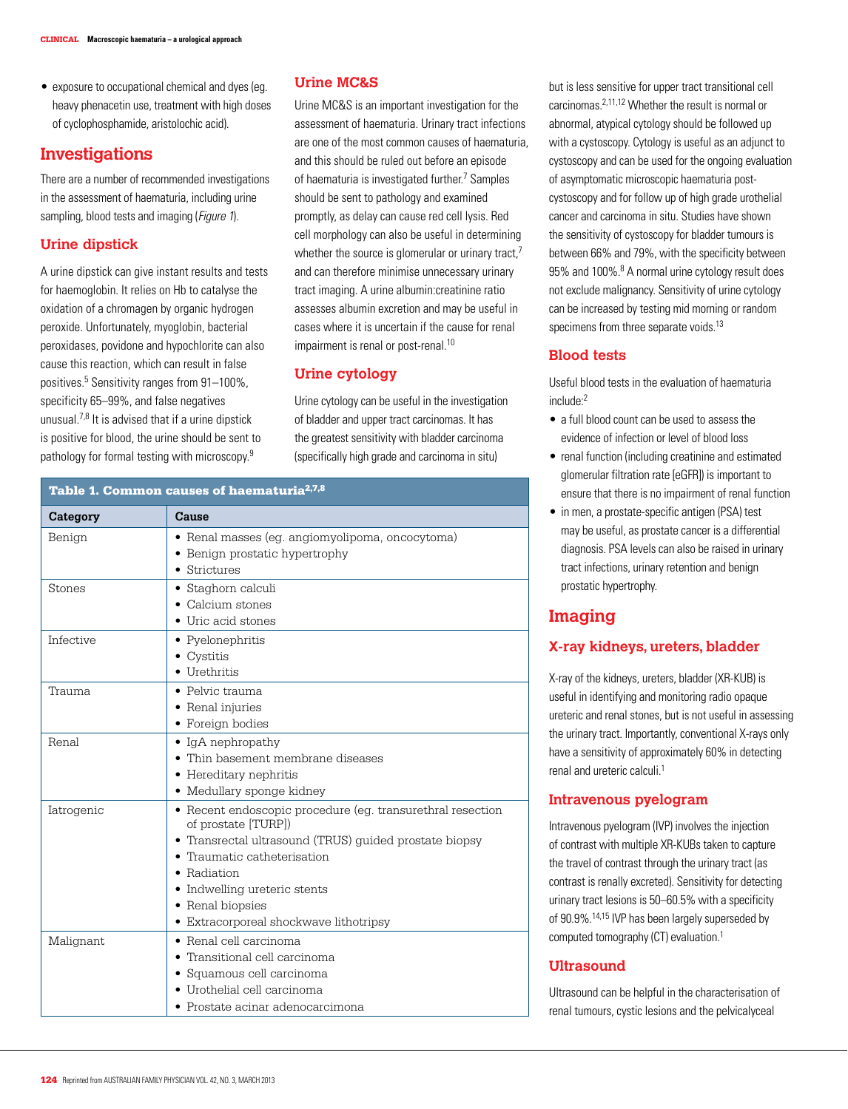• exposure to occupational chemical and dyes (eg. heavy phenacetin use, treatment with high doses of cyclophosphamide, aristolochic acid).

# **Investigations**

There are a number of recommended investigations in the assessment of haematuria, including urine sampling, blood tests and imaging (*Figure 1*).

# **Urine dipstick**

A urine dipstick can give instant results and tests for haemoglobin. It relies on Hb to catalyse the oxidation of a chromagen by organic hydrogen peroxide. Unfortunately, myoglobin, bacterial peroxidases, povidone and hypochlorite can also cause this reaction, which can result in false positives.5 Sensitivity ranges from 91–100%, specificity 65–99%, and false negatives unusual.7,8 It is advised that if a urine dipstick is positive for blood, the urine should be sent to pathology for formal testing with microscopy.9

# **Urine MC&S**

Urine MC&S is an important investigation for the assessment of haematuria. Urinary tract infections are one of the most common causes of haematuria, and this should be ruled out before an episode of haematuria is investigated further.<sup>7</sup> Samples should be sent to pathology and examined promptly, as delay can cause red cell lysis. Red cell morphology can also be useful in determining whether the source is glomerular or urinary tract.<sup>7</sup> and can therefore minimise unnecessary urinary tract imaging. A urine albumin:creatinine ratio assesses albumin excretion and may be useful in cases where it is uncertain if the cause for renal impairment is renal or post-renal.<sup>10</sup>

# **Urine cytology**

Urine cytology can be useful in the investigation of bladder and upper tract carcinomas. It has the greatest sensitivity with bladder carcinoma (specifically high grade and carcinoma in situ)

#### Table 1. Common causes of haematuria<sup>2,7,8</sup>

| Category         | Cause                                                                             |
|------------------|-----------------------------------------------------------------------------------|
| Benign           | • Renal masses (eg. angiomyolipoma, oncocytoma)<br>• Benign prostatic hypertrophy |
|                  | Strictures                                                                        |
| Stones           | • Staghorn calculi                                                                |
|                  | • Calcium stones                                                                  |
|                  | • Uric acid stones                                                                |
| <b>Infective</b> | • Pyelonephritis                                                                  |
|                  | $\bullet$ Cystitis                                                                |
|                  | Urethritis                                                                        |
| Trauma           | • Pelvic trauma                                                                   |
|                  | • Renal injuries                                                                  |
|                  | • Foreign bodies                                                                  |
| Renal            | $\bullet$ IgA nephropathy                                                         |
|                  | • Thin basement membrane diseases                                                 |
|                  | • Hereditary nephritis                                                            |
|                  | • Medullary sponge kidney                                                         |
| Iatrogenic       | • Recent endoscopic procedure (eg. transurethral resection<br>of prostate [TURP]) |
|                  | • Transrectal ultrasound (TRUS) quided prostate biopsy                            |
|                  | Traumatic catheterisation                                                         |
|                  | • Radiation                                                                       |
|                  | • Indwelling ureteric stents                                                      |
|                  | • Renal biopsies                                                                  |
|                  | • Extracorporeal shockwave lithotripsy                                            |
| Malignant        | • Renal cell carcinoma                                                            |
|                  | Transitional cell carcinoma                                                       |
|                  | Squamous cell carcinoma                                                           |
|                  | · Urothelial cell carcinoma                                                       |
|                  | • Prostate acinar adenocarcimona                                                  |

but is less sensitive for upper tract transitional cell carcinomas.2,11,12 Whether the result is normal or abnormal, atypical cytology should be followed up with a cystoscopy. Cytology is useful as an adjunct to cystoscopy and can be used for the ongoing evaluation of asymptomatic microscopic haematuria postcystoscopy and for follow up of high grade urothelial cancer and carcinoma in situ. Studies have shown the sensitivity of cystoscopy for bladder tumours is between 66% and 79%, with the specificity between 95% and 100%.<sup>8</sup> A normal urine cytology result does not exclude malignancy. Sensitivity of urine cytology can be increased by testing mid morning or random specimens from three separate voids.<sup>13</sup>

### **Blood tests**

Useful blood tests in the evaluation of haematuria include:2

- a full blood count can be used to assess the evidence of infection or level of blood loss
- renal function (including creatinine and estimated glomerular filtration rate [eGFR]) is important to ensure that there is no impairment of renal function
- in men, a prostate-specific antigen (PSA) test may be useful, as prostate cancer is a differential diagnosis. PSA levels can also be raised in urinary tract infections, urinary retention and benign prostatic hypertrophy.

# **Imaging**

# **X-ray kidneys, ureters, bladder**

X-ray of the kidneys, ureters, bladder (XR-KUB) is useful in identifying and monitoring radio opaque ureteric and renal stones, but is not useful in assessing the urinary tract. Importantly, conventional X-rays only have a sensitivity of approximately 60% in detecting renal and ureteric calculi.1

# **Intravenous pyelogram**

Intravenous pyelogram (IVP) involves the injection of contrast with multiple XR-KUBs taken to capture the travel of contrast through the urinary tract (as contrast is renally excreted). Sensitivity for detecting urinary tract lesions is 50–60.5% with a specificity of 90.9%.14,15 IVP has been largely superseded by computed tomography (CT) evaluation.1

# **Ultrasound**

Ultrasound can be helpful in the characterisation of renal tumours, cystic lesions and the pelvicalyceal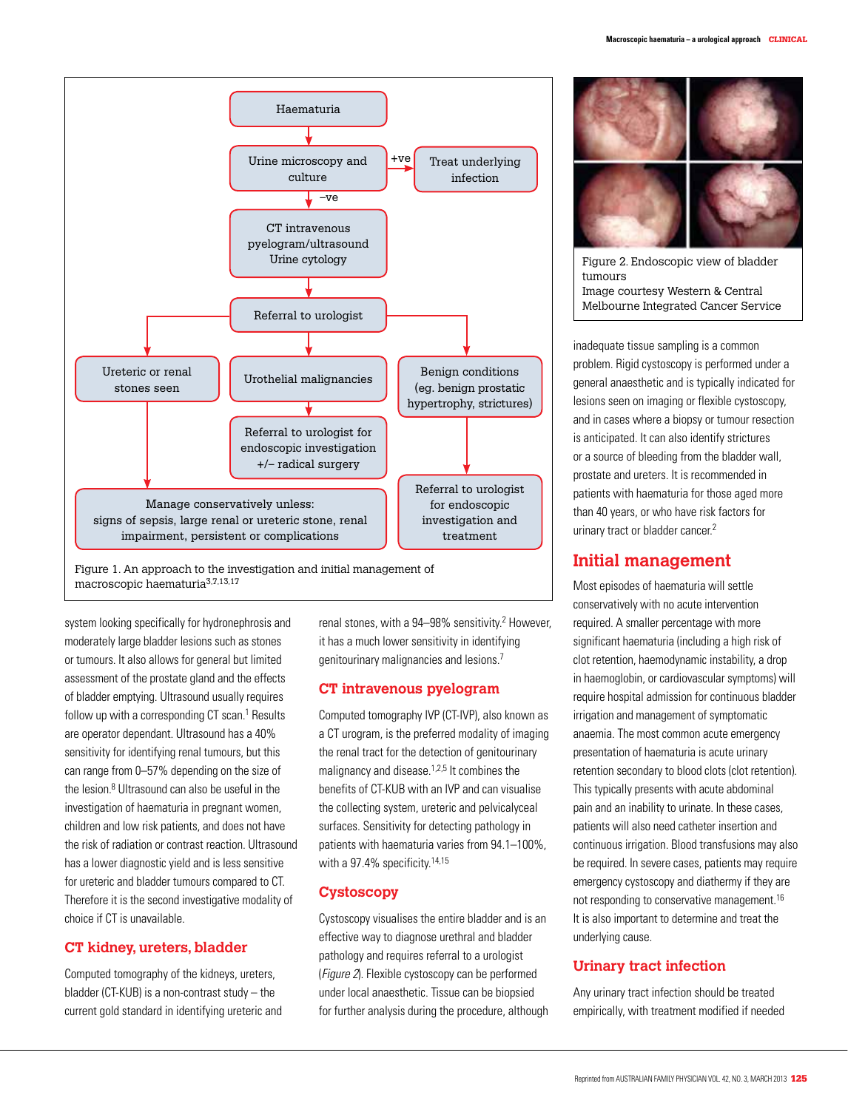

system looking specifically for hydronephrosis and moderately large bladder lesions such as stones or tumours. It also allows for general but limited assessment of the prostate gland and the effects of bladder emptying. Ultrasound usually requires follow up with a corresponding CT scan.<sup>1</sup> Results are operator dependant. Ultrasound has a 40% sensitivity for identifying renal tumours, but this can range from 0–57% depending on the size of the lesion.<sup>8</sup> Ultrasound can also be useful in the investigation of haematuria in pregnant women, children and low risk patients, and does not have the risk of radiation or contrast reaction. Ultrasound has a lower diagnostic yield and is less sensitive for ureteric and bladder tumours compared to CT. Therefore it is the second investigative modality of choice if CT is unavailable.

#### **CT kidney, ureters, bladder**

Computed tomography of the kidneys, ureters, bladder (CT-KUB) is a non-contrast study – the current gold standard in identifying ureteric and renal stones, with a 94–98% sensitivity.<sup>2</sup> However, it has a much lower sensitivity in identifying genitourinary malignancies and lesions.7

#### **CT intravenous pyelogram**

Computed tomography IVP (CT-IVP), also known as a CT urogram, is the preferred modality of imaging the renal tract for the detection of genitourinary malignancy and disease.<sup>1,2,5</sup> It combines the benefits of CT-KUB with an IVP and can visualise the collecting system, ureteric and pelvicalyceal surfaces. Sensitivity for detecting pathology in patients with haematuria varies from 94.1–100%, with a 97.4% specificity.<sup>14,15</sup>

# **Cystoscopy**

Cystoscopy visualises the entire bladder and is an effective way to diagnose urethral and bladder pathology and requires referral to a urologist (Figure 2). Flexible cystoscopy can be performed under local anaesthetic. Tissue can be biopsied for further analysis during the procedure, although



Figure 2. Endoscopic view of bladder tumours Image courtesy Western & Central Melbourne Integrated Cancer Service

inadequate tissue sampling is a common problem. Rigid cystoscopy is performed under a general anaesthetic and is typically indicated for lesions seen on imaging or flexible cystoscopy, and in cases where a biopsy or tumour resection is anticipated. It can also identify strictures or a source of bleeding from the bladder wall, prostate and ureters. It is recommended in patients with haematuria for those aged more than 40 years, or who have risk factors for urinary tract or bladder cancer.<sup>2</sup>

# **Initial management**

Most episodes of haematuria will settle conservatively with no acute intervention required. A smaller percentage with more significant haematuria (including a high risk of clot retention, haemodynamic instability, a drop in haemoglobin, or cardiovascular symptoms) will require hospital admission for continuous bladder irrigation and management of symptomatic anaemia. The most common acute emergency presentation of haematuria is acute urinary retention secondary to blood clots (clot retention). This typically presents with acute abdominal pain and an inability to urinate. In these cases, patients will also need catheter insertion and continuous irrigation. Blood transfusions may also be required. In severe cases, patients may require emergency cystoscopy and diathermy if they are not responding to conservative management.16 It is also important to determine and treat the underlying cause.

# **Urinary tract infection**

Any urinary tract infection should be treated empirically, with treatment modified if needed